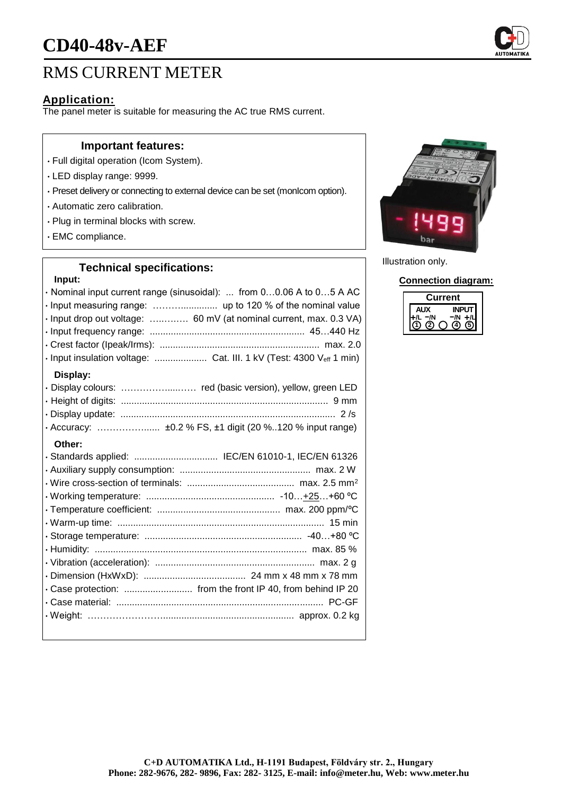# **CD40-48v-AEF**

# RMS CURRENT METER

## **Application:**

The panel meter is suitable for measuring the AC true RMS current.

#### **Important features:**

- Full digital operation (Icom System).
- LED display range: 9999.
- Preset delivery or connecting to external device can be set (monIcom option).
- Automatic zero calibration.
- Plug in terminal blocks with screw.
- EMC compliance.

# **Technical specifications: Input:** • Nominal input current range (sinusoidal): ... from 0…0.06 A to 0…5 A AC • Input measuring range: ……….............. up to 120 % of the nominal value • Input drop out voltage: …..….…. 60 mV (at nominal current, max. 0.3 VA) • Input frequency range: ........................................................... 45…440 Hz • Crest factor (Ipeak/Irms): ............................................................. max. 2.0 • Input insulation voltage: .................... Cat. III. 1 kV (Test: 4300 Veff 1 min) **Display:** • Display colours: ……………....…… red (basic version), yellow, green LED • Height of digits: ............................................................................... 9 mm • Display update: .................................................................................. 2 /s • Accuracy: ……………...... ±0.2 % FS, ±1 digit (20 %..120 % input range) **Other:** • Standards applied: ................................ IEC/EN 61010-1, IEC/EN 61326 • Auxiliary supply consumption: .................................................. max. 2 W • Wire cross-section of terminals: ......................................... max. 2.5 mm<sup>2</sup> • Working temperature: ................................................. -10…+25…+60 ºC • Temperature coefficient: ............................................... max. 200 ppm/ºC • Warm-up time: ............................................................................... 15 min • Storage temperature: ............................................................ -40…+80 ºC • Humidity: ................................................................................. max. 85 % • Vibration (acceleration): ............................................................. max. 2 g • Dimension (HxWxD): ....................................... 24 mm x 48 mm x 78 mm • Case protection: .......................... from the front IP 40, from behind IP 20 • Case material: ............................................................................... PC-GF • Weight: …………………….................................................. approx. 0.2 kg



Illustration only.

**Connection diagram:**